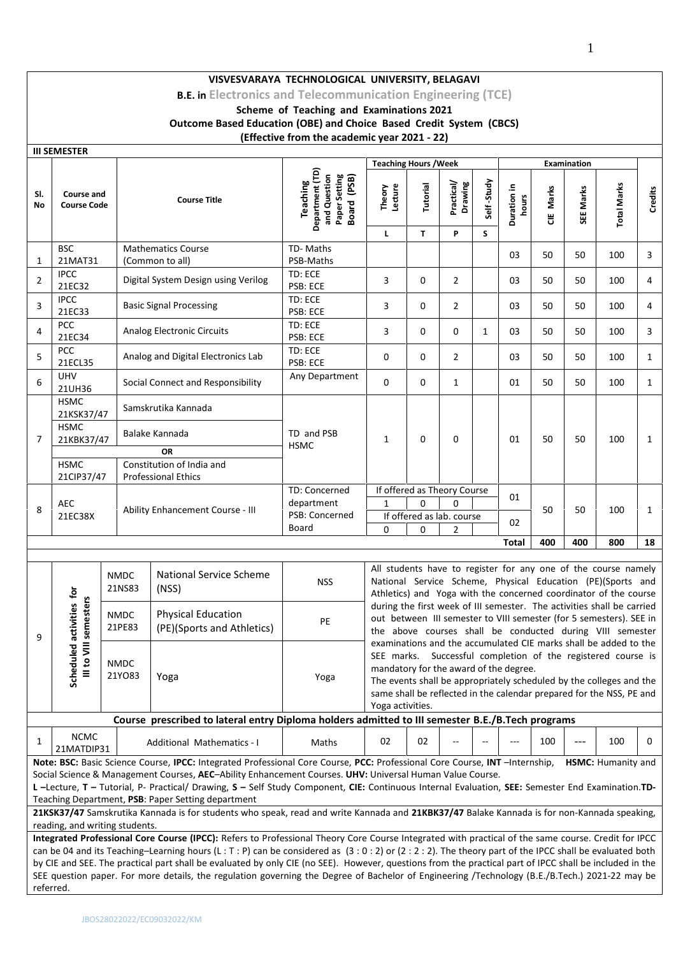**B.E. in Electronics and Telecommunication Engineering (TCE)**

**Scheme of Teaching and Examinations 2021**

**Outcome Based Education (OBE) and Choice Based Credit System (CBCS)**

# **(Effective from the academic year 2021 - 22)**

|                | <b>III SEMESTER</b>                                                    |                                                             |                                       |                                                                                                                                                                                                                                                                                                                                                                                                                                                                                                                                                                                                                      |                                                                                    |                                                                                                                                                                                                                                                                                                                                               |          |                                  |              |                      |           |             |                    |         |  |  |
|----------------|------------------------------------------------------------------------|-------------------------------------------------------------|---------------------------------------|----------------------------------------------------------------------------------------------------------------------------------------------------------------------------------------------------------------------------------------------------------------------------------------------------------------------------------------------------------------------------------------------------------------------------------------------------------------------------------------------------------------------------------------------------------------------------------------------------------------------|------------------------------------------------------------------------------------|-----------------------------------------------------------------------------------------------------------------------------------------------------------------------------------------------------------------------------------------------------------------------------------------------------------------------------------------------|----------|----------------------------------|--------------|----------------------|-----------|-------------|--------------------|---------|--|--|
|                |                                                                        |                                                             |                                       |                                                                                                                                                                                                                                                                                                                                                                                                                                                                                                                                                                                                                      |                                                                                    | <b>Teaching Hours / Week</b>                                                                                                                                                                                                                                                                                                                  |          |                                  |              |                      |           | Examination |                    |         |  |  |
| SI.<br>No      | <b>Course and</b><br><b>Course Code</b>                                |                                                             |                                       | <b>Course Title</b>                                                                                                                                                                                                                                                                                                                                                                                                                                                                                                                                                                                                  | Department (TD)<br>and Question<br>Paper Setting<br>Board (PSB)<br><b>Teaching</b> | Theory<br>Lecture                                                                                                                                                                                                                                                                                                                             | Tutorial | Practical/<br>Drawing            | Self-Study   | Duration in<br>hours | CIE Marks | SEE Marks   | <b>Total Marks</b> | Credits |  |  |
|                |                                                                        |                                                             |                                       |                                                                                                                                                                                                                                                                                                                                                                                                                                                                                                                                                                                                                      |                                                                                    | L.                                                                                                                                                                                                                                                                                                                                            | T.       | P                                | S            |                      |           |             |                    |         |  |  |
| 1              | <b>BSC</b><br>21MAT31                                                  |                                                             |                                       | <b>Mathematics Course</b><br>(Common to all)                                                                                                                                                                                                                                                                                                                                                                                                                                                                                                                                                                         | TD-Maths<br>PSB-Maths                                                              |                                                                                                                                                                                                                                                                                                                                               |          |                                  |              | 03                   | 50        | 50          | 100                | 3       |  |  |
| $\overline{2}$ | <b>IPCC</b><br>21EC32                                                  |                                                             |                                       | Digital System Design using Verilog                                                                                                                                                                                                                                                                                                                                                                                                                                                                                                                                                                                  | TD: ECE<br>PSB: ECE                                                                | 3                                                                                                                                                                                                                                                                                                                                             | 0        | $\overline{2}$                   |              | 03                   | 50        | 50          | 100                | 4       |  |  |
| 3              | <b>IPCC</b><br>21EC33                                                  |                                                             |                                       | <b>Basic Signal Processing</b>                                                                                                                                                                                                                                                                                                                                                                                                                                                                                                                                                                                       | TD: ECE<br>PSB: ECE                                                                | 3                                                                                                                                                                                                                                                                                                                                             | 0        | $\overline{2}$                   |              | 03                   | 50        | 50          | 100                | 4       |  |  |
| 4              | <b>PCC</b><br>21EC34                                                   |                                                             |                                       | Analog Electronic Circuits                                                                                                                                                                                                                                                                                                                                                                                                                                                                                                                                                                                           | TD: ECE<br>PSB: ECE                                                                | 3                                                                                                                                                                                                                                                                                                                                             | 0        | 0                                | $\mathbf{1}$ | 03                   | 50        | 50          | 100                | 3       |  |  |
| 5              | PCC<br>21ECL35                                                         |                                                             |                                       | Analog and Digital Electronics Lab                                                                                                                                                                                                                                                                                                                                                                                                                                                                                                                                                                                   | TD: ECE<br>PSB: ECE                                                                | 0                                                                                                                                                                                                                                                                                                                                             | 0        | $\overline{2}$                   |              | 03                   | 50        | 50          | 100                | 1       |  |  |
| 6              | <b>UHV</b><br>21UH36                                                   |                                                             |                                       | Social Connect and Responsibility                                                                                                                                                                                                                                                                                                                                                                                                                                                                                                                                                                                    | Any Department                                                                     | 0                                                                                                                                                                                                                                                                                                                                             | 0        | $\mathbf{1}$                     |              | 01                   | 50        | 50          | 100                | 1       |  |  |
| 7              | <b>HSMC</b><br>21KSK37/47<br><b>HSMC</b><br>21KBK37/47                 |                                                             | Samskrutika Kannada<br>Balake Kannada |                                                                                                                                                                                                                                                                                                                                                                                                                                                                                                                                                                                                                      | TD and PSB<br><b>HSMC</b>                                                          | $\mathbf{1}$                                                                                                                                                                                                                                                                                                                                  | 0        | 0                                |              | 01                   | 50        | 50          | 100                | 1       |  |  |
|                | <b>HSMC</b><br>21CIP37/47                                              |                                                             |                                       | <b>OR</b><br>Constitution of India and<br><b>Professional Ethics</b>                                                                                                                                                                                                                                                                                                                                                                                                                                                                                                                                                 |                                                                                    |                                                                                                                                                                                                                                                                                                                                               |          |                                  |              |                      |           |             |                    |         |  |  |
|                |                                                                        |                                                             |                                       |                                                                                                                                                                                                                                                                                                                                                                                                                                                                                                                                                                                                                      | TD: Concerned<br>department                                                        | $\mathbf{1}$                                                                                                                                                                                                                                                                                                                                  | $\Omega$ | If offered as Theory Course<br>0 |              | 01                   |           |             |                    |         |  |  |
| 8              | <b>AEC</b><br>21EC38X                                                  | Ability Enhancement Course - III<br>PSB: Concerned<br>Board |                                       |                                                                                                                                                                                                                                                                                                                                                                                                                                                                                                                                                                                                                      |                                                                                    | 0                                                                                                                                                                                                                                                                                                                                             | 0        | If offered as lab. course<br>2   |              | 02                   | 50        | 50          | 100                | 1       |  |  |
|                |                                                                        |                                                             |                                       |                                                                                                                                                                                                                                                                                                                                                                                                                                                                                                                                                                                                                      |                                                                                    |                                                                                                                                                                                                                                                                                                                                               |          |                                  |              | Total                | 400       | 400         | 800                | 18      |  |  |
|                | <b>NMDC</b><br>National Service Scheme<br><b>NSS</b><br>21NS83<br>(NS) |                                                             |                                       |                                                                                                                                                                                                                                                                                                                                                                                                                                                                                                                                                                                                                      |                                                                                    | All students have to register for any one of the course namely<br>National Service Scheme, Physical Education (PE)(Sports and<br>Athletics) and Yoga with the concerned coordinator of the course                                                                                                                                             |          |                                  |              |                      |           |             |                    |         |  |  |
| 9              | led activities for<br>VIII semesters                                   | <b>NMDC</b><br>21PE83                                       |                                       | <b>Physical Education</b><br>(PE)(Sports and Athletics)                                                                                                                                                                                                                                                                                                                                                                                                                                                                                                                                                              | PE                                                                                 | during the first week of III semester. The activities shall be carried<br>out between III semester to VIII semester (for 5 semesters). SEE in<br>the above courses shall be conducted during VIII semester                                                                                                                                    |          |                                  |              |                      |           |             |                    |         |  |  |
|                | Schedul<br>$\frac{1}{2}$                                               | <b>NMDC</b><br>21YO83                                       |                                       | Yoga                                                                                                                                                                                                                                                                                                                                                                                                                                                                                                                                                                                                                 | Yoga                                                                               | examinations and the accumulated CIE marks shall be added to the<br>SEE marks. Successful completion of the registered course is<br>mandatory for the award of the degree.<br>The events shall be appropriately scheduled by the colleges and the<br>same shall be reflected in the calendar prepared for the NSS, PE and<br>Yoga activities. |          |                                  |              |                      |           |             |                    |         |  |  |
|                |                                                                        |                                                             |                                       | Course prescribed to lateral entry Diploma holders admitted to III semester B.E./B.Tech programs                                                                                                                                                                                                                                                                                                                                                                                                                                                                                                                     |                                                                                    |                                                                                                                                                                                                                                                                                                                                               |          |                                  |              |                      |           |             |                    |         |  |  |
| 1              | <b>NCMC</b><br>21MATDIP31                                              |                                                             |                                       | <b>Additional Mathematics - I</b>                                                                                                                                                                                                                                                                                                                                                                                                                                                                                                                                                                                    | Maths                                                                              | 02                                                                                                                                                                                                                                                                                                                                            | 02       |                                  |              |                      | 100       | $---$       | 100                | 0       |  |  |
|                |                                                                        |                                                             |                                       | Note: BSC: Basic Science Course, IPCC: Integrated Professional Core Course, PCC: Professional Core Course, INT -Internship,<br>Social Science & Management Courses, AEC-Ability Enhancement Courses. UHV: Universal Human Value Course.<br>L-Lecture, T-Tutorial, P- Practical/ Drawing, S-Self Study Component, CIE: Continuous Internal Evaluation, SEE: Semester End Examination.TD-<br>Teaching Department, PSB: Paper Setting department<br>21KSK37/47 Samskrutika Kannada is for students who speak, read and write Kannada and 21KBK37/47 Balake Kannada is for non-Kannada speaking,                         |                                                                                    |                                                                                                                                                                                                                                                                                                                                               |          |                                  |              |                      |           |             | HSMC: Humanity and |         |  |  |
|                | reading, and writing students.                                         |                                                             |                                       |                                                                                                                                                                                                                                                                                                                                                                                                                                                                                                                                                                                                                      |                                                                                    |                                                                                                                                                                                                                                                                                                                                               |          |                                  |              |                      |           |             |                    |         |  |  |
| referred.      |                                                                        |                                                             |                                       | Integrated Professional Core Course (IPCC): Refers to Professional Theory Core Course Integrated with practical of the same course. Credit for IPCC<br>can be 04 and its Teaching-Learning hours (L: T: P) can be considered as (3:0:2) or (2:2:2). The theory part of the IPCC shall be evaluated both<br>by CIE and SEE. The practical part shall be evaluated by only CIE (no SEE). However, questions from the practical part of IPCC shall be included in the<br>SEE question paper. For more details, the regulation governing the Degree of Bachelor of Engineering /Technology (B.E./B.Tech.) 2021-22 may be |                                                                                    |                                                                                                                                                                                                                                                                                                                                               |          |                                  |              |                      |           |             |                    |         |  |  |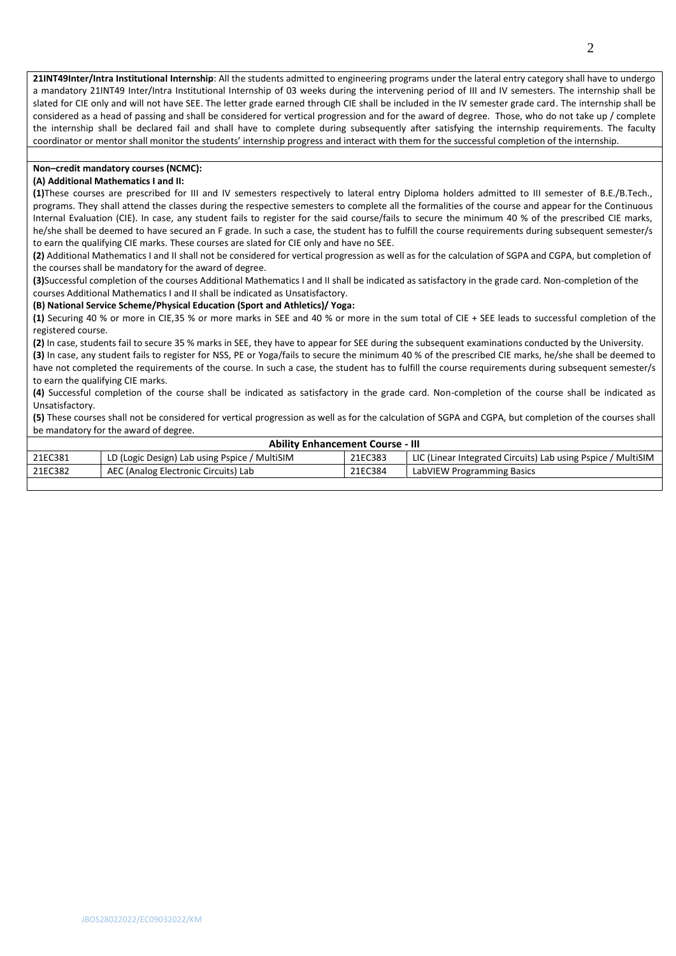**21INT49Inter/Intra Institutional Internship**: All the students admitted to engineering programs under the lateral entry category shall have to undergo a mandatory 21INT49 Inter/Intra Institutional Internship of 03 weeks during the intervening period of III and IV semesters. The internship shall be slated for CIE only and will not have SEE. The letter grade earned through CIE shall be included in the IV semester grade card. The internship shall be considered as a head of passing and shall be considered for vertical progression and for the award of degree. Those, who do not take up / complete the internship shall be declared fail and shall have to complete during subsequently after satisfying the internship requirements. The faculty coordinator or mentor shall monitor the students' internship progress and interact with them for the successful completion of the internship.

## **Non–credit mandatory courses (NCMC):**

#### **(A) Additional Mathematics I and II:**

**(1)**These courses are prescribed for III and IV semesters respectively to lateral entry Diploma holders admitted to III semester of B.E./B.Tech., programs. They shall attend the classes during the respective semesters to complete all the formalities of the course and appear for the Continuous Internal Evaluation (CIE). In case, any student fails to register for the said course/fails to secure the minimum 40 % of the prescribed CIE marks, he/she shall be deemed to have secured an F grade. In such a case, the student has to fulfill the course requirements during subsequent semester/s to earn the qualifying CIE marks. These courses are slated for CIE only and have no SEE.

**(2)** Additional Mathematics I and II shall not be considered for vertical progression as well as for the calculation of SGPA and CGPA, but completion of the courses shall be mandatory for the award of degree.

**(3)**Successful completion of the courses Additional Mathematics I and II shall be indicated as satisfactory in the grade card. Non-completion of the courses Additional Mathematics I and II shall be indicated as Unsatisfactory.

#### **(B) National Service Scheme/Physical Education (Sport and Athletics)/ Yoga:**

**(1)** Securing 40 % or more in CIE,35 % or more marks in SEE and 40 % or more in the sum total of CIE + SEE leads to successful completion of the registered course.

**(2)** In case, students fail to secure 35 % marks in SEE, they have to appear for SEE during the subsequent examinations conducted by the University.

**(3)** In case, any student fails to register for NSS, PE or Yoga/fails to secure the minimum 40 % of the prescribed CIE marks, he/she shall be deemed to have not completed the requirements of the course. In such a case, the student has to fulfill the course requirements during subsequent semester/s to earn the qualifying CIE marks.

**(4)** Successful completion of the course shall be indicated as satisfactory in the grade card. Non-completion of the course shall be indicated as Unsatisfactory.

**(5)** These courses shall not be considered for vertical progression as well as for the calculation of SGPA and CGPA, but completion of the courses shall be mandatory for the award of degree.

| <b>Ability Enhancement Course - III</b> |                                               |         |                                                              |  |  |  |  |  |  |
|-----------------------------------------|-----------------------------------------------|---------|--------------------------------------------------------------|--|--|--|--|--|--|
| 21EC381                                 | LD (Logic Design) Lab using Pspice / MultiSIM | 21EC383 | LIC (Linear Integrated Circuits) Lab using Pspice / MultiSIM |  |  |  |  |  |  |
| 21EC382                                 | AEC (Analog Electronic Circuits) Lab          | 21EC384 | LabVIEW Programming Basics                                   |  |  |  |  |  |  |
|                                         |                                               |         |                                                              |  |  |  |  |  |  |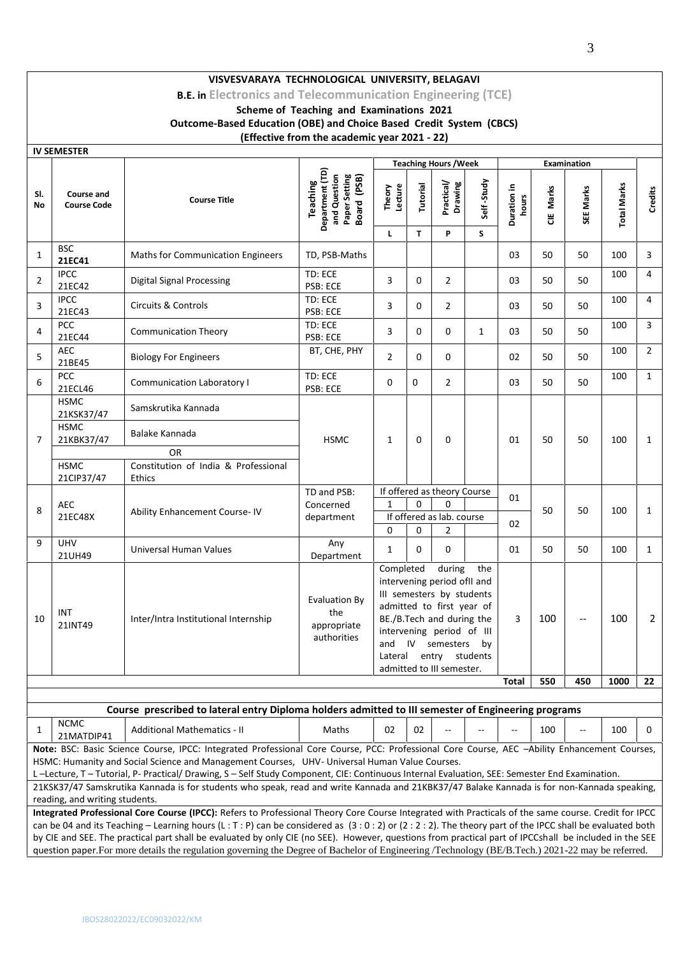**B.E. in Electronics and Telecommunication Engineering (TCE)**

**Scheme of Teaching and Examinations 2021**

**Outcome-Based Education (OBE) and Choice Based Credit System (CBCS)**

# **(Effective from the academic year 2021 - 22)**

|                | IV SEIVIESTEK                           |                                                                                                                                              |                                                                                    |                                                                                                                                                                                                                                                                   |               |                              |              |                          |           |                          |                    |                |
|----------------|-----------------------------------------|----------------------------------------------------------------------------------------------------------------------------------------------|------------------------------------------------------------------------------------|-------------------------------------------------------------------------------------------------------------------------------------------------------------------------------------------------------------------------------------------------------------------|---------------|------------------------------|--------------|--------------------------|-----------|--------------------------|--------------------|----------------|
|                |                                         |                                                                                                                                              |                                                                                    |                                                                                                                                                                                                                                                                   |               | <b>Teaching Hours / Week</b> |              | <b>Examination</b>       |           |                          |                    |                |
| SI.<br>No      | <b>Course and</b><br><b>Course Code</b> | <b>Course Title</b>                                                                                                                          | Department (TD)<br>and Question<br>Paper Setting<br>Board (PSB)<br><b>Teaching</b> | Lecture<br>Theory                                                                                                                                                                                                                                                 | Tutorial      | Practical/<br>Drawing        | Self-Study   | Duration in<br>hours     | CIE Marks | SEE Marks                | <b>Total Marks</b> | Credits        |
|                |                                         |                                                                                                                                              |                                                                                    | L                                                                                                                                                                                                                                                                 | T             | P                            | S            |                          |           |                          |                    |                |
| $\mathbf{1}$   | <b>BSC</b><br>21EC41                    | <b>Maths for Communication Engineers</b>                                                                                                     | TD, PSB-Maths                                                                      |                                                                                                                                                                                                                                                                   |               |                              |              | 03                       | 50        | 50                       | 100                | 3              |
| 2              | <b>IPCC</b><br>21EC42                   | <b>Digital Signal Processing</b>                                                                                                             | TD: ECE<br>PSB: ECE                                                                | 3                                                                                                                                                                                                                                                                 | $\Omega$      | $\overline{2}$               |              | 03                       | 50        | 50                       | 100                | 4              |
| 3              | <b>IPCC</b><br>21EC43                   | <b>Circuits &amp; Controls</b>                                                                                                               | TD: ECE<br>PSB: ECE                                                                | 3                                                                                                                                                                                                                                                                 | $\Omega$      | $\overline{2}$               |              | 03                       | 50        | 50                       | 100                | 4              |
| 4              | <b>PCC</b><br>21EC44                    | <b>Communication Theory</b>                                                                                                                  | TD: ECE<br>PSB: ECE                                                                | 3                                                                                                                                                                                                                                                                 | 0             | 0                            | $\mathbf{1}$ | 03                       | 50        | 50                       | 100                | 3              |
| 5              | <b>AEC</b><br>21BE45                    | <b>Biology For Engineers</b>                                                                                                                 | BT, CHE, PHY                                                                       | $\overline{2}$                                                                                                                                                                                                                                                    | 0             | 0                            |              | 02                       | 50        | 50                       | 100                | $\overline{2}$ |
| 6              | <b>PCC</b><br>21ECL46                   | Communication Laboratory I                                                                                                                   | TD: ECE<br>PSB: ECE                                                                | 0                                                                                                                                                                                                                                                                 | 0             | $\overline{2}$               |              | 03                       | 50        | 50                       | 100                | $\mathbf{1}$   |
|                | <b>HSMC</b><br>21KSK37/47               | Samskrutika Kannada                                                                                                                          |                                                                                    |                                                                                                                                                                                                                                                                   |               |                              |              |                          |           |                          |                    |                |
| $\overline{7}$ | <b>HSMC</b><br>21KBK37/47               | Balake Kannada                                                                                                                               | <b>HSMC</b>                                                                        | $\mathbf{1}$                                                                                                                                                                                                                                                      | $\Omega$      | 0                            |              | 01                       | 50        | 50                       | 100                | $\mathbf{1}$   |
|                |                                         | <b>OR</b>                                                                                                                                    |                                                                                    |                                                                                                                                                                                                                                                                   |               |                              |              |                          |           |                          |                    |                |
|                | <b>HSMC</b><br>21CIP37/47               | Constitution of India & Professional<br>Ethics                                                                                               |                                                                                    |                                                                                                                                                                                                                                                                   |               |                              |              |                          |           |                          |                    |                |
|                |                                         |                                                                                                                                              | TD and PSB:                                                                        | If offered as theory Course                                                                                                                                                                                                                                       |               |                              |              | 01                       |           |                          |                    |                |
|                | <b>AEC</b>                              |                                                                                                                                              | Concerned                                                                          | $\mathbf{1}$                                                                                                                                                                                                                                                      | $\Omega$<br>0 |                              |              |                          |           |                          |                    | $\mathbf{1}$   |
| 8              | 21EC48X                                 | Ability Enhancement Course-IV                                                                                                                | department                                                                         | If offered as lab. course                                                                                                                                                                                                                                         |               |                              |              |                          | 50        | 50                       | 100                |                |
|                |                                         |                                                                                                                                              |                                                                                    | 0                                                                                                                                                                                                                                                                 | $\Omega$      | $\overline{2}$               |              | 02                       |           |                          |                    |                |
| 9              | <b>UHV</b><br>21UH49                    | Universal Human Values                                                                                                                       | Any<br>Department                                                                  | 1                                                                                                                                                                                                                                                                 | 0             | 0                            |              | 01                       | 50        | 50                       | 100                | 1              |
| 10             | INT<br>21INT49                          | Inter/Intra Institutional Internship                                                                                                         | <b>Evaluation By</b><br>the<br>appropriate<br>authorities                          | Completed<br>during<br>the<br>intervening period of I and<br>III semesters by students<br>admitted to first year of<br>BE./B.Tech and during the<br>intervening period of III<br>and IV semesters<br>by<br>Lateral<br>entry students<br>admitted to III semester. |               |                              | 3            | 100                      | --        | 100                      | 2                  |                |
|                |                                         |                                                                                                                                              |                                                                                    |                                                                                                                                                                                                                                                                   |               |                              |              | Total                    | 550       | 450                      | 1000               | 22             |
|                |                                         |                                                                                                                                              |                                                                                    |                                                                                                                                                                                                                                                                   |               |                              |              |                          |           |                          |                    |                |
|                |                                         | Course prescribed to lateral entry Diploma holders admitted to III semester of Engineering programs                                          |                                                                                    |                                                                                                                                                                                                                                                                   |               |                              |              |                          |           |                          |                    |                |
| 1              | <b>NCMC</b><br>21MATDIP41               | <b>Additional Mathematics - II</b>                                                                                                           | Maths                                                                              | 02                                                                                                                                                                                                                                                                | 02            | --                           |              | $\overline{\phantom{a}}$ | 100       | $\overline{\phantom{a}}$ | 100                | 0              |
|                |                                         | Note: BSC: Basic Science Course, IPCC: Integrated Professional Core Course, PCC: Professional Core Course, AEC -Ability Enhancement Courses, |                                                                                    |                                                                                                                                                                                                                                                                   |               |                              |              |                          |           |                          |                    |                |
|                |                                         | HSMC: Humanity and Social Science and Management Courses, UHV- Universal Human Value Courses.                                                |                                                                                    |                                                                                                                                                                                                                                                                   |               |                              |              |                          |           |                          |                    |                |

L –Lecture, T – Tutorial, P- Practical/ Drawing, S – Self Study Component, CIE: Continuous Internal Evaluation, SEE: Semester End Examination.

21KSK37/47 Samskrutika Kannada is for students who speak, read and write Kannada and 21KBK37/47 Balake Kannada is for non-Kannada speaking, reading, and writing students.

**Integrated Professional Core Course (IPCC):** Refers to Professional Theory Core Course Integrated with Practicals of the same course. Credit for IPCC can be 04 and its Teaching – Learning hours (L: T: P) can be considered as  $(3:0:2)$  or  $(2:2:2)$ . The theory part of the IPCC shall be evaluated both by CIE and SEE. The practical part shall be evaluated by only CIE (no SEE). However, questions from practical part of IPCCshall be included in the SEE question paper.For more details the regulation governing the Degree of Bachelor of Engineering /Technology (BE/B.Tech.) 2021-22 may be referred.

**IV SEMESTER**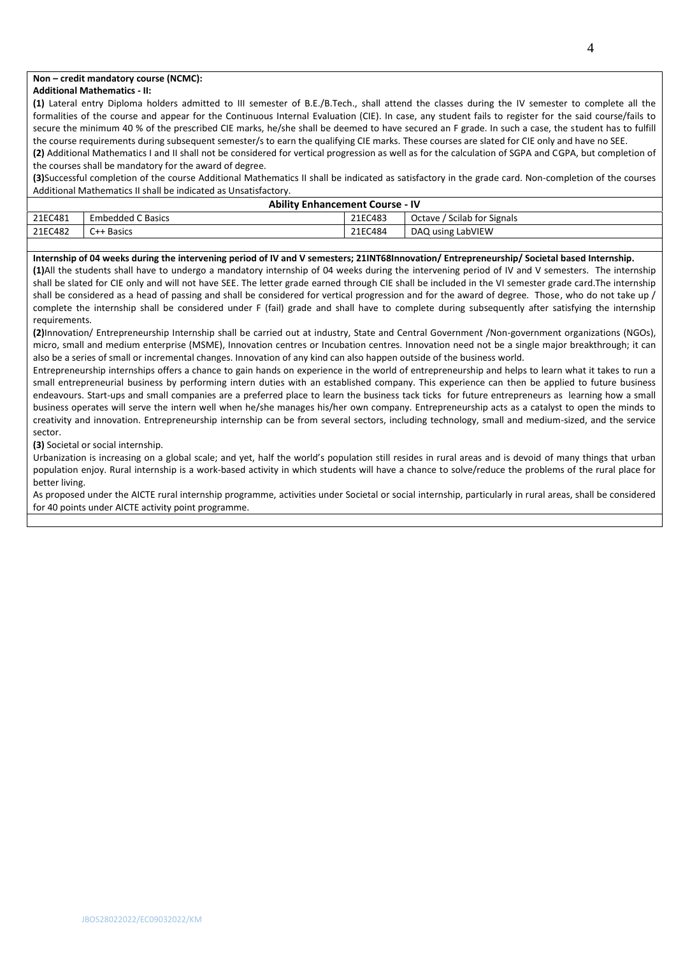## **Non – credit mandatory course (NCMC):**

#### **Additional Mathematics - II:**

**(1)** Lateral entry Diploma holders admitted to III semester of B.E./B.Tech., shall attend the classes during the IV semester to complete all the formalities of the course and appear for the Continuous Internal Evaluation (CIE). In case, any student fails to register for the said course/fails to secure the minimum 40 % of the prescribed CIE marks, he/she shall be deemed to have secured an F grade. In such a case, the student has to fulfill the course requirements during subsequent semester/s to earn the qualifying CIE marks. These courses are slated for CIE only and have no SEE.

**(2)** Additional Mathematics I and II shall not be considered for vertical progression as well as for the calculation of SGPA and CGPA, but completion of the courses shall be mandatory for the award of degree.

**(3)**Successful completion of the course Additional Mathematics II shall be indicated as satisfactory in the grade card. Non-completion of the courses Additional Mathematics II shall be indicated as Unsatisfactory.

| <b>Ability Enhancement Course - IV</b> |                   |         |                             |  |  |  |  |  |  |
|----------------------------------------|-------------------|---------|-----------------------------|--|--|--|--|--|--|
| 21EC481                                | Embedded C Basics | 21EC483 | Octave / Scilab for Signals |  |  |  |  |  |  |
| 21EC482                                | C++ Basics        | 21EC484 | DAQ using LabVIEW           |  |  |  |  |  |  |
|                                        |                   |         |                             |  |  |  |  |  |  |

### **Internship of 04 weeks during the intervening period of IV and V semesters; 21INT68Innovation/ Entrepreneurship/ Societal based Internship.**

**(1)**All the students shall have to undergo a mandatory internship of 04 weeks during the intervening period of IV and V semesters. The internship shall be slated for CIE only and will not have SEE. The letter grade earned through CIE shall be included in the VI semester grade card.The internship shall be considered as a head of passing and shall be considered for vertical progression and for the award of degree. Those, who do not take up / complete the internship shall be considered under F (fail) grade and shall have to complete during subsequently after satisfying the internship requirements.

**(2)**Innovation/ Entrepreneurship Internship shall be carried out at industry, State and Central Government /Non-government organizations (NGOs), micro, small and medium enterprise (MSME), Innovation centres or Incubation centres. Innovation need not be a single major breakthrough; it can also be a series of small or incremental changes. Innovation of any kind can also happen outside of the business world.

Entrepreneurship internships offers a chance to gain hands on experience in the world of entrepreneurship and helps to learn what it takes to run a small entrepreneurial business by performing intern duties with an established company. This experience can then be applied to future business endeavours. Start-ups and small companies are a preferred place to learn the business tack ticks for future entrepreneurs as learning how a small business operates will serve the intern well when he/she manages his/her own company. Entrepreneurship acts as a catalyst to open the minds to creativity and innovation. Entrepreneurship internship can be from several sectors, including technology, small and medium-sized, and the service sector.

**(3)** Societal or social internship.

Urbanization is increasing on a global scale; and yet, half the world's population still resides in rural areas and is devoid of many things that urban population enjoy. Rural internship is a work-based activity in which students will have a chance to solve/reduce the problems of the rural place for better living.

As proposed under the AICTE rural internship programme, activities under Societal or social internship, particularly in rural areas, shall be considered for 40 points under AICTE activity point programme.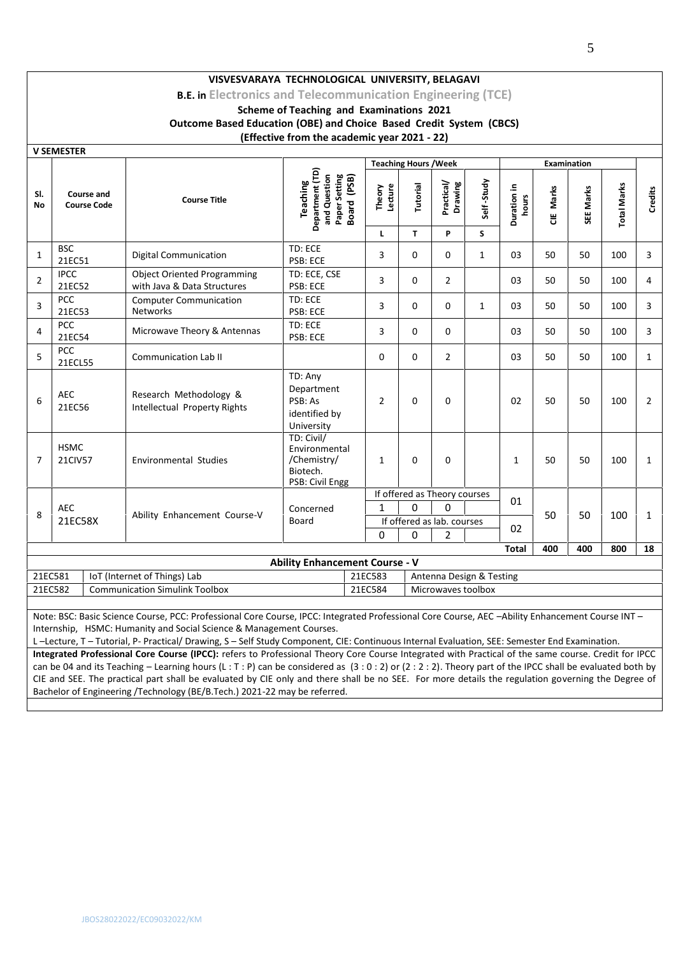**B.E. in Electronics and Telecommunication Engineering (TCE)**

# **Scheme of Teaching and Examinations 2021**

**Outcome Based Education (OBE) and Choice Based Credit System (CBCS)**

# **(Effective from the academic year 2021 - 22)**

|                                                                                | <b>V SEMESTER</b>                                                                 |                                                                   |                                                                           |                                  |                |                              |              |                      |            |                    |                    |                |  |
|--------------------------------------------------------------------------------|-----------------------------------------------------------------------------------|-------------------------------------------------------------------|---------------------------------------------------------------------------|----------------------------------|----------------|------------------------------|--------------|----------------------|------------|--------------------|--------------------|----------------|--|
|                                                                                |                                                                                   |                                                                   |                                                                           | <b>Teaching Hours / Week</b>     |                |                              |              |                      |            | <b>Examination</b> |                    |                |  |
| SI.<br><b>No</b>                                                               | <b>Course and</b><br><b>Course Code</b>                                           | <b>Course Title</b>                                               | Department (TD)<br>and Question<br>Paper Setting<br><b>Teaching</b>       | Board (PSB)<br>Lecture<br>Theory | Tutorial       | Practical/<br>Drawing        | Self-Study   | Duration in<br>hours | Marks<br>ă | SEE Marks          | <b>Total Marks</b> | Credits        |  |
|                                                                                |                                                                                   |                                                                   |                                                                           | L.                               | T.             | P                            | S.           |                      |            |                    |                    |                |  |
| 1                                                                              | <b>BSC</b><br>21EC51                                                              | <b>Digital Communication</b>                                      | TD: ECE<br>PSB: ECE                                                       | 3                                | $\Omega$       | $\Omega$                     | $\mathbf{1}$ | 03                   | 50         | 50                 | 100                | 3              |  |
| $\overline{2}$                                                                 | <b>IPCC</b><br>21EC52                                                             | <b>Object Oriented Programming</b><br>with Java & Data Structures | TD: ECE, CSE<br>PSB: ECE                                                  | 3                                | $\Omega$       | $\overline{2}$               |              | 03                   | 50         | 50                 | 100                | 4              |  |
| 3                                                                              | <b>PCC</b><br>21EC53                                                              | <b>Computer Communication</b><br><b>Networks</b>                  | TD: ECE<br>PSB: ECE                                                       | 3                                | $\Omega$       | $\Omega$                     | $\mathbf{1}$ | 03                   | 50         | 50                 | 100                | 3              |  |
| 4                                                                              | <b>PCC</b><br>21EC54                                                              | Microwave Theory & Antennas                                       | TD: ECE<br>PSB: ECE                                                       | 3                                | $\Omega$       | $\Omega$                     |              | 03                   | 50         | 50                 | 100                | 3              |  |
| 5                                                                              | PCC<br>21ECL55                                                                    | Communication Lab II                                              |                                                                           | $\Omega$                         | $\Omega$       | $\overline{2}$               |              | 03                   | 50         | 50                 | 100                | $\mathbf{1}$   |  |
| 6                                                                              | <b>AEC</b><br>21EC56                                                              | Research Methodology &<br>Intellectual Property Rights            | TD: Any<br>Department<br>PSB: As<br>identified by<br>University           | $\overline{2}$                   | $\Omega$       | 0                            |              | 02                   | 50         | 50                 | 100                | $\overline{2}$ |  |
| $\overline{7}$                                                                 | <b>HSMC</b><br><b>21CIV57</b>                                                     | <b>Environmental Studies</b>                                      | TD: Civil/<br>Environmental<br>/Chemistry/<br>Biotech.<br>PSB: Civil Engg | $\mathbf{1}$                     | $\Omega$       | $\Omega$                     |              | $\mathbf{1}$         | 50         | 50                 | 100                | $\mathbf{1}$   |  |
|                                                                                |                                                                                   |                                                                   |                                                                           |                                  |                | If offered as Theory courses |              | 01                   |            |                    |                    |                |  |
| 8                                                                              | <b>AEC</b>                                                                        | Ability Enhancement Course-V                                      | Concerned                                                                 | $\mathbf{1}$                     | $\Omega$       | 0                            |              |                      | 50         | 50                 | 100                | $\mathbf{1}$   |  |
|                                                                                | 21EC58X                                                                           |                                                                   | Board                                                                     |                                  |                | If offered as lab. courses   |              | 02                   |            |                    |                    |                |  |
|                                                                                |                                                                                   |                                                                   | 0                                                                         | $\Omega$                         | $\overline{2}$ |                              |              |                      |            |                    |                    |                |  |
|                                                                                |                                                                                   |                                                                   |                                                                           |                                  |                |                              |              | <b>Total</b>         | 400        | 400                | 800                | 18             |  |
|                                                                                |                                                                                   |                                                                   | <b>Ability Enhancement Course - V</b>                                     |                                  |                |                              |              |                      |            |                    |                    |                |  |
| 21EC581<br>IoT (Internet of Things) Lab<br>21EC583<br>Antenna Design & Testing |                                                                                   |                                                                   |                                                                           |                                  |                |                              |              |                      |            |                    |                    |                |  |
|                                                                                | 21EC582<br><b>Communication Simulink Toolbox</b><br>21EC584<br>Microwaves toolbox |                                                                   |                                                                           |                                  |                |                              |              |                      |            |                    |                    |                |  |
|                                                                                |                                                                                   |                                                                   |                                                                           |                                  |                |                              |              |                      |            |                    |                    |                |  |

Note: BSC: Basic Science Course, PCC: Professional Core Course, IPCC: Integrated Professional Core Course, AEC –Ability Enhancement Course INT – Internship, HSMC: Humanity and Social Science & Management Courses.

L –Lecture, T – Tutorial, P- Practical/ Drawing, S – Self Study Component, CIE: Continuous Internal Evaluation, SEE: Semester End Examination.

**Integrated Professional Core Course (IPCC):** refers to Professional Theory Core Course Integrated with Practical of the same course. Credit for IPCC can be 04 and its Teaching – Learning hours (L: T: P) can be considered as  $(3:0:2)$  or  $(2:2:2)$ . Theory part of the IPCC shall be evaluated both by CIE and SEE. The practical part shall be evaluated by CIE only and there shall be no SEE. For more details the regulation governing the Degree of Bachelor of Engineering /Technology (BE/B.Tech.) 2021-22 may be referred.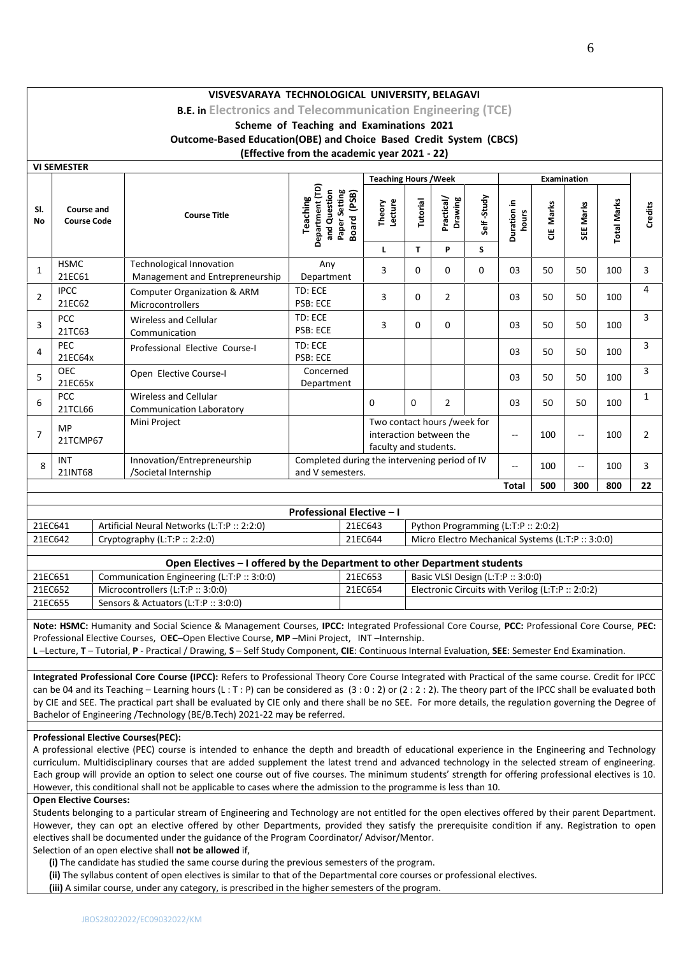**B.E. in Electronics and Telecommunication Engineering (TCE)**

## **Scheme of Teaching and Examinations 2021 Outcome-Based Education(OBE) and Choice Based Credit System (CBCS) (Effective from the academic year 2021 - 22)**

|                  |                                         |                                                                    | <b>Teaching Hours / Week</b>                                                          |                                                                                 |          |                       |            |                         |            |                |                    |                |
|------------------|-----------------------------------------|--------------------------------------------------------------------|---------------------------------------------------------------------------------------|---------------------------------------------------------------------------------|----------|-----------------------|------------|-------------------------|------------|----------------|--------------------|----------------|
| SI.<br><b>No</b> | <b>Course and</b><br><b>Course Code</b> | <b>Course Title</b>                                                | Department (TD)<br>(PSB)<br>and Question<br>Paper Setting<br>Teaching<br><b>Board</b> | Lecture<br>Theory                                                               | Tutorial | Practical/<br>Drawing | Self-Study | 르.<br>Duration<br>hours | Marks<br>쁭 | SEE Marks      | <b>Total Marks</b> | <b>Credits</b> |
|                  |                                         |                                                                    |                                                                                       | L                                                                               | T.       | P                     | S          |                         |            |                |                    |                |
| $\mathbf{1}$     | <b>HSMC</b><br>21EC61                   | <b>Technological Innovation</b><br>Management and Entrepreneurship | Any<br>Department                                                                     | 3                                                                               | 0        | $\Omega$              | 0          | 03                      | 50         | 50             | 100                | 3              |
| $\overline{2}$   | <b>IPCC</b><br>21EC62                   | Computer Organization & ARM<br>Microcontrollers                    | TD: ECE<br><b>PSB: ECE</b>                                                            | 3                                                                               | 0        | $\overline{2}$        |            | 03                      | 50         | 50             | 100                | 4              |
| 3                | <b>PCC</b><br>21TC63                    | Wireless and Cellular<br>Communication                             | TD: ECE<br><b>PSB: ECE</b>                                                            | 3                                                                               | 0        | $\Omega$              |            | 03                      | 50         | 50             | 100                | 3              |
| 4                | <b>PEC</b><br>21EC64x                   | Professional Elective Course-I                                     | TD: ECE<br>PSB: ECE                                                                   |                                                                                 |          |                       |            | 03                      | 50         | 50             | 100                | 3              |
| 5                | <b>OEC</b><br>21EC65x                   | Open Elective Course-I                                             | Concerned<br>Department                                                               |                                                                                 |          |                       |            | 03                      | 50         | 50             | 100                | 3              |
| 6                | <b>PCC</b><br>21TCL66                   | Wireless and Cellular<br><b>Communication Laboratory</b>           |                                                                                       | $\Omega$                                                                        | 0        | $\overline{2}$        |            | 03                      | 50         | 50             | 100                | 1              |
| $\overline{7}$   | <b>MP</b><br>21TCMP67                   | Mini Project                                                       |                                                                                       | Two contact hours /week for<br>interaction between the<br>faculty and students. |          |                       |            | $-$                     | 100        | $\overline{a}$ | 100                | $\overline{2}$ |
| 8                | INT<br>21INT68                          | Innovation/Entrepreneurship<br>/Societal Internship                | Completed during the intervening period of IV<br>and V semesters.                     |                                                                                 |          |                       |            | $-$                     | 100        | --             | 100                | 3              |
|                  |                                         |                                                                    |                                                                                       |                                                                                 |          |                       |            | <b>Total</b>            | 500        | 300            | 800                | 22             |

| <b>Professional Elective - I</b> |                                             |         |                                                  |  |  |  |  |  |  |  |
|----------------------------------|---------------------------------------------|---------|--------------------------------------------------|--|--|--|--|--|--|--|
| 21EC641                          | Artificial Neural Networks (L:T:P :: 2:2:0) | 21EC643 | Python Programming (L:T:P $:: 2:0:2$ )           |  |  |  |  |  |  |  |
| 21EC642                          | Cryptography (L:T:P $:: 2:2:0)$             | 21EC644 | Micro Electro Mechanical Systems (L:T:P:: 3:0:0) |  |  |  |  |  |  |  |

| Open Electives – I offered by the Department to other Department students |                                            |         |                                                      |  |  |  |  |  |  |  |
|---------------------------------------------------------------------------|--------------------------------------------|---------|------------------------------------------------------|--|--|--|--|--|--|--|
| 21EC651                                                                   | Communication Engineering (L:T:P :: 3:0:0) | 21EC653 | Basic VLSI Design $(L:T:P::3:0:0)$                   |  |  |  |  |  |  |  |
| 21EC652                                                                   | Microcontrollers (L:T:P $::$ 3:0:0)        | 21EC654 | Electronic Circuits with Verilog (L:T:P $:: 2:0:2$ ) |  |  |  |  |  |  |  |
| 21EC655                                                                   | Sensors & Actuators (L:T:P :: 3:0:0)       |         |                                                      |  |  |  |  |  |  |  |

**Note: HSMC:** Humanity and Social Science & Management Courses, **IPCC:** Integrated Professional Core Course, **PCC:** Professional Core Course, **PEC:** Professional Elective Courses, O**EC**–Open Elective Course, **MP** –Mini Project, INT –Internship.

**L** –Lecture, **T** – Tutorial, **P** - Practical / Drawing, **S** – Self Study Component, **CIE**: Continuous Internal Evaluation, **SEE**: Semester End Examination.

**Integrated Professional Core Course (IPCC):** Refers to Professional Theory Core Course Integrated with Practical of the same course. Credit for IPCC can be 04 and its Teaching – Learning hours (L : T : P) can be considered as  $(3:0:2)$  or  $(2:2:2)$ . The theory part of the IPCC shall be evaluated both by CIE and SEE. The practical part shall be evaluated by CIE only and there shall be no SEE. For more details, the regulation governing the Degree of Bachelor of Engineering /Technology (BE/B.Tech) 2021-22 may be referred.

#### **Professional Elective Courses(PEC):**

A professional elective (PEC) course is intended to enhance the depth and breadth of educational experience in the Engineering and Technology curriculum. Multidisciplinary courses that are added supplement the latest trend and advanced technology in the selected stream of engineering. Each group will provide an option to select one course out of five courses. The minimum students' strength for offering professional electives is 10. However, this conditional shall not be applicable to cases where the admission to the programme is less than 10.

#### **Open Elective Courses:**

**VI SEMESTER**

Students belonging to a particular stream of Engineering and Technology are not entitled for the open electives offered by their parent Department. However, they can opt an elective offered by other Departments, provided they satisfy the prerequisite condition if any. Registration to open electives shall be documented under the guidance of the Program Coordinator/ Advisor/Mentor.

## Selection of an open elective shall **not be allowed** if,

**(i)** The candidate has studied the same course during the previous semesters of the program.

**(ii)** The syllabus content of open electives is similar to that of the Departmental core courses or professional electives.

**(iii)** A similar course, under any category, is prescribed in the higher semesters of the program.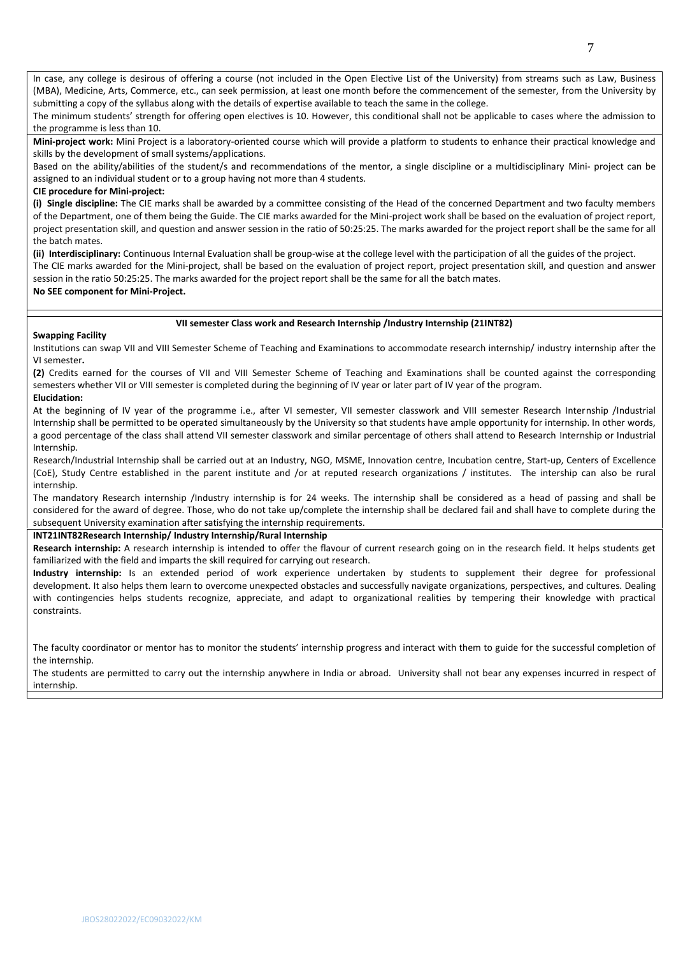In case, any college is desirous of offering a course (not included in the Open Elective List of the University) from streams such as Law, Business (MBA), Medicine, Arts, Commerce, etc., can seek permission, at least one month before the commencement of the semester, from the University by submitting a copy of the syllabus along with the details of expertise available to teach the same in the college.

The minimum students' strength for offering open electives is 10. However, this conditional shall not be applicable to cases where the admission to the programme is less than 10.

**Mini-project work:** Mini Project is a laboratory-oriented course which will provide a platform to students to enhance their practical knowledge and skills by the development of small systems/applications.

Based on the ability/abilities of the student/s and recommendations of the mentor, a single discipline or a multidisciplinary Mini- project can be assigned to an individual student or to a group having not more than 4 students.

### **CIE procedure for Mini-project:**

**(i) Single discipline:** The CIE marks shall be awarded by a committee consisting of the Head of the concerned Department and two faculty members of the Department, one of them being the Guide. The CIE marks awarded for the Mini-project work shall be based on the evaluation of project report, project presentation skill, and question and answer session in the ratio of 50:25:25. The marks awarded for the project report shall be the same for all the batch mates.

**(ii) Interdisciplinary:** Continuous Internal Evaluation shall be group-wise at the college level with the participation of all the guides of the project. The CIE marks awarded for the Mini-project, shall be based on the evaluation of project report, project presentation skill, and question and answer session in the ratio 50:25:25. The marks awarded for the project report shall be the same for all the batch mates.

## **No SEE component for Mini-Project.**

### **VII semester Class work and Research Internship /Industry Internship (21INT82)**

### **Swapping Facility**

Institutions can swap VII and VIII Semester Scheme of Teaching and Examinations to accommodate research internship/ industry internship after the VI semester**.**

**(2)** Credits earned for the courses of VII and VIII Semester Scheme of Teaching and Examinations shall be counted against the corresponding semesters whether VII or VIII semester is completed during the beginning of IV year or later part of IV year of the program. **Elucidation:**

At the beginning of IV year of the programme i.e., after VI semester, VII semester classwork and VIII semester Research Internship /Industrial Internship shall be permitted to be operated simultaneously by the University so that students have ample opportunity for internship. In other words, a good percentage of the class shall attend VII semester classwork and similar percentage of others shall attend to Research Internship or Industrial Internship.

Research/Industrial Internship shall be carried out at an Industry, NGO, MSME, Innovation centre, Incubation centre, Start-up, Centers of Excellence (CoE), Study Centre established in the parent institute and /or at reputed research organizations / institutes. The intership can also be rural internship.

The mandatory Research internship /Industry internship is for 24 weeks. The internship shall be considered as a head of passing and shall be considered for the award of degree. Those, who do not take up/complete the internship shall be declared fail and shall have to complete during the subsequent University examination after satisfying the internship requirements.

### **INT21INT82Research Internship/ Industry Internship/Rural Internship**

**Research internship:** A research internship is intended to offer the flavour of current research going on in the research field. It helps students get familiarized with the field and imparts the skill required for carrying out research.

**Industry internship:** Is an extended period of work experience undertaken by students to supplement their degree for professional development. It also helps them learn to overcome unexpected obstacles and successfully navigate organizations, perspectives, and cultures. Dealing with contingencies helps students recognize, appreciate, and adapt to organizational realities by tempering their knowledge with practical constraints.

The faculty coordinator or mentor has to monitor the students' internship progress and interact with them to guide for the successful completion of the internship.

The students are permitted to carry out the internship anywhere in India or abroad. University shall not bear any expenses incurred in respect of internship.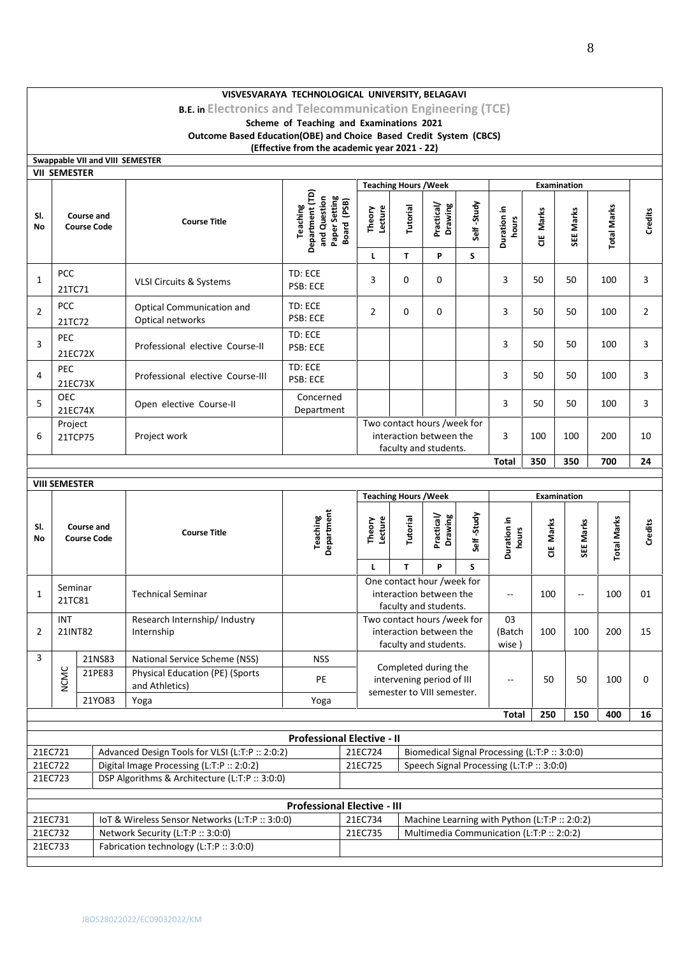**B.E. in Electronics and Telecommunication Engineering (TCE)**

### **Scheme of Teaching and Examinations 2021 Outcome Based Education(OBE) and Choice Based Credit System (CBCS) (Effective from the academic year 2021 - 22)**

| Swappable VII and VIII SEMESTER |                                         |                                                                                      |                                                                             |                                                                                 |               |                                                                                                          |                          |                                                                                            |            |                    |                    |                |
|---------------------------------|-----------------------------------------|--------------------------------------------------------------------------------------|-----------------------------------------------------------------------------|---------------------------------------------------------------------------------|---------------|----------------------------------------------------------------------------------------------------------|--------------------------|--------------------------------------------------------------------------------------------|------------|--------------------|--------------------|----------------|
| <b>VII SEMESTER</b>             |                                         |                                                                                      |                                                                             |                                                                                 |               |                                                                                                          |                          |                                                                                            |            |                    |                    |                |
|                                 |                                         |                                                                                      |                                                                             | <b>Teaching Hours / Week</b>                                                    |               |                                                                                                          |                          |                                                                                            |            | Examination        |                    |                |
| SI.<br>No                       | <b>Course and</b><br><b>Course Code</b> | <b>Course Title</b>                                                                  | Department (TD)<br>and Question<br>Paper Setting<br>Board (PSB)<br>Teaching | Theory<br>Lecture                                                               | Tutorial      | Practical/<br>Drawing                                                                                    | Self-Study               | Duration in<br>hours                                                                       | CIE Marks  | SEE Marks          | <b>Total Marks</b> | Credits        |
|                                 |                                         |                                                                                      |                                                                             | L                                                                               | T             | P                                                                                                        | S                        |                                                                                            |            |                    |                    |                |
| PCC<br>1<br>21TC71              |                                         | VLSI Circuits & Systems                                                              | TD: ECE<br>PSB: ECE                                                         | 3                                                                               | 0             | 0                                                                                                        |                          | 3                                                                                          | 50         | 50                 | 100                | 3              |
| PCC<br>$\overline{2}$<br>21TC72 |                                         | <b>Optical Communication and</b><br>Optical networks                                 | TD: ECE<br>PSB: ECE                                                         | $\overline{2}$                                                                  | 0             | 0                                                                                                        |                          | 3                                                                                          | 50         | 50                 | 100                | $\overline{2}$ |
| PEC<br>3<br>21EC72X             |                                         | Professional elective Course-II                                                      | TD: ECE<br>PSB: ECE                                                         |                                                                                 |               |                                                                                                          |                          | 3                                                                                          | 50         | 50                 | 100                | 3              |
| PEC<br>4<br>21EC73X             |                                         | Professional elective Course-III                                                     | TD: ECE<br>PSB: ECE                                                         |                                                                                 |               |                                                                                                          |                          | 3                                                                                          | 50         | 50                 | 100                | 3              |
| <b>OEC</b><br>5<br>21EC74X      |                                         | Open elective Course-II                                                              | Concerned<br>Department                                                     |                                                                                 |               |                                                                                                          |                          | 3                                                                                          | 50         | 50                 | 100                | 3              |
| Project<br>6<br>21TCP75         |                                         | Project work                                                                         |                                                                             | Two contact hours /week for<br>interaction between the<br>faculty and students. |               |                                                                                                          |                          | 3                                                                                          | 100        | 100                | 200                | 10             |
|                                 |                                         |                                                                                      |                                                                             |                                                                                 |               |                                                                                                          |                          | <b>Total</b>                                                                               | 350        | 350                | 700                | 24             |
| <b>VIII SEMESTER</b>            |                                         |                                                                                      |                                                                             |                                                                                 |               |                                                                                                          |                          |                                                                                            |            |                    |                    |                |
|                                 |                                         |                                                                                      |                                                                             | <b>Teaching Hours / Week</b>                                                    |               |                                                                                                          |                          |                                                                                            |            | <b>Examination</b> |                    |                |
| SI.<br>No                       | <b>Course and</b><br><b>Course Code</b> | <b>Course Title</b>                                                                  | Department<br><b>Teaching</b>                                               | Lecture<br>Theory<br>L                                                          | Tutorial<br>T | Practical/<br>Drawing<br>P                                                                               | Self-Study<br>S          | Duration in<br>hours                                                                       | Marks<br>쁭 | SEE Marks          | <b>Total Marks</b> | Credits        |
| Seminar<br>1<br>21TC81          |                                         | <b>Technical Seminar</b>                                                             |                                                                             |                                                                                 |               | One contact hour /week for<br>interaction between the                                                    |                          | $\overline{\phantom{a}}$                                                                   | 100        | Ξ.                 | 100                | 01             |
| INT<br>21INT82<br>2             |                                         | Research Internship/ Industry<br>Internship                                          |                                                                             |                                                                                 |               | faculty and students.<br>Two contact hours /week for<br>interaction between the<br>faculty and students. |                          | 03<br>(Batch<br>wise)                                                                      | 100        | 100                | 200                | 15             |
| 3                               | 21NS83                                  | National Service Scheme (NSS)                                                        | <b>NSS</b>                                                                  |                                                                                 |               |                                                                                                          |                          |                                                                                            |            |                    |                    |                |
| <b>NCMC</b>                     | 21PE83                                  | <b>Physical Education (PE) (Sports</b><br>and Athletics)                             | PE                                                                          | Completed during the<br>intervening period of III<br>semester to VIII semester. |               |                                                                                                          | $\overline{\phantom{a}}$ | 50                                                                                         | 50         | 100                | 0                  |                |
|                                 | 21Y083                                  | Yoga                                                                                 | Yoga                                                                        |                                                                                 |               |                                                                                                          |                          |                                                                                            |            |                    |                    |                |
|                                 |                                         |                                                                                      |                                                                             |                                                                                 |               |                                                                                                          |                          | Total                                                                                      | 250        | 150                | 400                | 16             |
|                                 |                                         |                                                                                      | <b>Professional Elective - II</b>                                           |                                                                                 |               |                                                                                                          |                          |                                                                                            |            |                    |                    |                |
| 21EC721                         |                                         | Advanced Design Tools for VLSI (L:T:P :: 2:0:2)                                      |                                                                             | 21EC724                                                                         |               |                                                                                                          |                          | Biomedical Signal Processing (L:T:P :: 3:0:0)                                              |            |                    |                    |                |
| 21EC722                         |                                         | Digital Image Processing (L:T:P :: 2:0:2)                                            |                                                                             | 21EC725                                                                         |               |                                                                                                          |                          | Speech Signal Processing (L:T:P :: 3:0:0)                                                  |            |                    |                    |                |
| 21EC723                         |                                         | DSP Algorithms & Architecture (L:T:P :: 3:0:0)                                       |                                                                             |                                                                                 |               |                                                                                                          |                          |                                                                                            |            |                    |                    |                |
|                                 |                                         |                                                                                      | <b>Professional Elective - III</b>                                          |                                                                                 |               |                                                                                                          |                          |                                                                                            |            |                    |                    |                |
|                                 |                                         |                                                                                      |                                                                             |                                                                                 |               |                                                                                                          |                          |                                                                                            |            |                    |                    |                |
|                                 |                                         |                                                                                      |                                                                             |                                                                                 |               |                                                                                                          |                          |                                                                                            |            |                    |                    |                |
| 21EC731<br>21EC732              |                                         | IoT & Wireless Sensor Networks (L:T:P :: 3:0:0)<br>Network Security (L:T:P :: 3:0:0) |                                                                             | 21EC734<br>21EC735                                                              |               |                                                                                                          |                          | Machine Learning with Python (L:T:P :: 2:0:2)<br>Multimedia Communication (L:T:P :: 2:0:2) |            |                    |                    |                |